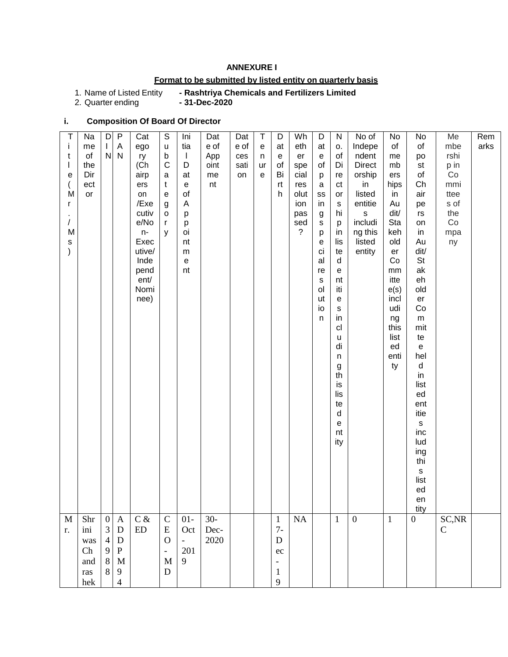## **ANNEXURE I**

# **Format to be submitted by listed entity on quarterly basis**

# 1. Name of Listed Entity **- Rashtriya Chemicals and Fertilizers Limited**

2. Quarter ending

# **i. Composition Of Board Of Director**

| Τ<br>İ<br>t<br>е<br>r<br>$\prime$<br>s<br>$\mathcal{E}$ | Na<br>me<br>o <sub>f</sub><br>the<br>Dir<br>ect<br>M<br>or<br>M | D<br>L<br>$\mathsf{N}$                                             | $\mathsf{P}$<br>Α<br>$\mathsf{N}$                                                                        | Cat<br>ego<br>ry<br>(Ch<br>airp<br>ers<br>on<br>/Exe<br>cutiv<br>e/No<br>$n-$<br>Exec<br>utive/<br>Inde<br>pend<br>ent/<br>Nomi<br>nee) | $\mathbb S$<br>u<br>b<br>$\mathsf{C}$<br>a<br>t<br>$\mathsf{e}% _{t}\left( t\right)$<br>g<br>$\mathsf{o}$<br>$\mathsf{r}$<br>y | Ini<br>tia<br>$\overline{\phantom{a}}$<br>D<br>at<br>$\mathsf{e}% _{t}\left( t\right)$<br>of<br>A<br>p<br>p<br>oi<br>nt<br>${\sf m}$<br>$\mathsf{e}% _{t}\left( t\right)$<br>nt | Dat<br>e of<br>App<br>oint<br>me<br>nt | Dat<br>e of<br>ces<br>sati<br>on | $\top$<br>${\bf e}$<br>n<br>ur<br>e | D<br>at<br>${\bf e}$<br>of<br>Bi<br>rt<br>h                                                                 | Wh<br>eth<br>er<br>spe<br>cial<br>res<br>olut<br>ion<br>pas<br>sed<br>$\tilde{?}$ | D<br>at<br>$\mathsf{e}% _{0}\left( \mathsf{e}\right)$<br>of<br>p<br>$\mathbf a$<br>SS<br>in<br>$\boldsymbol{g}$<br>$\mathbf S$<br>р<br>$\mathbf e$<br>ci<br>al<br>re<br>${\sf s}$<br>ol<br>ut<br>io<br>n | ${\sf N}$<br>о.<br>of<br>Di<br>re<br>ct<br>or<br>${\tt S}$<br>hi<br>p<br>in<br>lis<br>te<br>d<br>${\bf e}$<br>nt<br>iti<br>${\bf e}$<br>$\mathbb S$<br>in<br>cl<br>u<br>di<br>n<br>$\boldsymbol{g}$<br>th<br>is<br>lis<br>te<br>$\mathsf{d}$<br>e<br>nt<br>ity | No of<br>Indepe<br>ndent<br><b>Direct</b><br>orship<br>in<br>listed<br>entitie<br>$\mathsf{s}$<br>includi<br>ng this<br>listed<br>entity | No<br>of<br>me<br>mb<br>ers<br>hips<br>in<br>Au<br>dit/<br>Sta<br>keh<br>old<br>er<br>Co<br>$\mathsf{mm}$<br>itte<br>e(s)<br>incl<br>udi<br>ng<br>this<br>list<br>ed<br>enti<br>ty | No<br>of<br>po<br>st<br>of<br>Ch<br>air<br>pe<br>rs<br>on<br>in<br>Au<br>dit/<br><b>St</b><br>ak<br>eh<br>old<br>er<br>Co<br>${\sf m}$<br>mit<br>te<br>$\mathsf{e}% _{0}\left( \mathsf{e}\right)$<br>hel<br>$\sf d$<br>in<br>list<br>ed<br>ent<br>itie<br>$\mathsf{s}$<br>inc<br>lud<br>ing<br>thi<br>$\mathsf{s}$<br>list<br>ed<br>en<br>tity | Me<br>mbe<br>rshi<br>p in<br>Co<br>mmi<br>ttee<br>s of<br>the<br>Co<br>mpa<br>ny | Rem<br>arks |
|---------------------------------------------------------|-----------------------------------------------------------------|--------------------------------------------------------------------|----------------------------------------------------------------------------------------------------------|-----------------------------------------------------------------------------------------------------------------------------------------|--------------------------------------------------------------------------------------------------------------------------------|---------------------------------------------------------------------------------------------------------------------------------------------------------------------------------|----------------------------------------|----------------------------------|-------------------------------------|-------------------------------------------------------------------------------------------------------------|-----------------------------------------------------------------------------------|----------------------------------------------------------------------------------------------------------------------------------------------------------------------------------------------------------|----------------------------------------------------------------------------------------------------------------------------------------------------------------------------------------------------------------------------------------------------------------|------------------------------------------------------------------------------------------------------------------------------------------|------------------------------------------------------------------------------------------------------------------------------------------------------------------------------------|------------------------------------------------------------------------------------------------------------------------------------------------------------------------------------------------------------------------------------------------------------------------------------------------------------------------------------------------|----------------------------------------------------------------------------------|-------------|
| $\mathbf M$<br>r.                                       | Shr<br>ini<br>was<br>Ch<br>and<br>ras<br>hek                    | $\boldsymbol{0}$<br>3<br>$\overline{4}$<br>9<br>$\,8\,$<br>$\,8\,$ | $\mathbf{A}$<br>${\bf D}$<br>${\bf D}$<br>${\bf P}$<br>$\mathbf M$<br>$\boldsymbol{9}$<br>$\overline{4}$ | $C \&$<br>${\rm ED}$                                                                                                                    | $\mathbf C$<br>${\bf E}$<br>$\mathbf{O}$<br>$\blacksquare$<br>M<br>${\bf D}$                                                   | $01-$<br>Oct<br>$\equiv$<br>201<br>9                                                                                                                                            | $30-$<br>Dec-<br>2020                  |                                  |                                     | $\mathbf{1}$<br>$7-$<br>$\mathbf D$<br>$\rm ec$<br>$\overline{\phantom{0}}$<br>$\mathbf{1}$<br>$\mathbf{9}$ | $\rm NA$                                                                          |                                                                                                                                                                                                          | $\mathbf{1}$                                                                                                                                                                                                                                                   | $\boldsymbol{0}$                                                                                                                         | $\mathbf{1}$                                                                                                                                                                       | $\overline{0}$                                                                                                                                                                                                                                                                                                                                 | SC, NR<br>$\mathbf C$                                                            |             |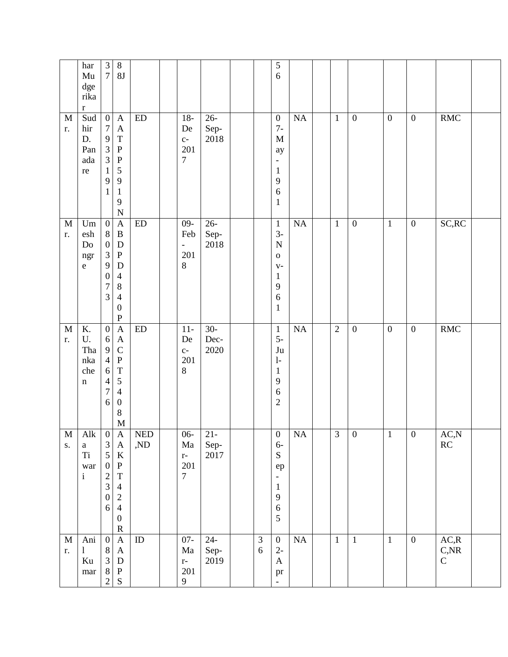|                   | har<br>${\rm Mu}$<br>$\rm{dge}$<br>rika<br>$\bf r$          | $\overline{3}$<br>$7\vert$                                                                                                  | $8\,$<br>$8\mathrm{J}$                                                                                                                                           |                   |                                                         |                                   |                              | $\sqrt{5}$<br>6                                                                                                                   |                        |              |                  |                  |                  |                                 |  |
|-------------------|-------------------------------------------------------------|-----------------------------------------------------------------------------------------------------------------------------|------------------------------------------------------------------------------------------------------------------------------------------------------------------|-------------------|---------------------------------------------------------|-----------------------------------|------------------------------|-----------------------------------------------------------------------------------------------------------------------------------|------------------------|--------------|------------------|------------------|------------------|---------------------------------|--|
| $\mathbf M$<br>r. | Sud<br>hir<br>D.<br>Pan<br>$\rm{ada}$<br>re                 | $\boldsymbol{0}$<br>$\boldsymbol{7}$<br>9<br>$\overline{3}$<br>3<br>$\mathbf{1}$<br>9<br>$\mathbf{1}$                       | $\mathbf{A}$<br>$\boldsymbol{\mathsf{A}}$<br>$\mathbf T$<br>${\bf P}$<br>$\, {\bf P}$<br>5<br>$\mathbf{9}$<br>$\,1\,$<br>9<br>$\mathbf N$                        | ${\rm ED}$        | $18-$<br>De<br>$C-$<br>201<br>$\tau$                    | $26 -$<br>Sep-<br>2018            |                              | $\boldsymbol{0}$<br>$7-$<br>$\mathbf M$<br>ay<br>$\overline{\phantom{a}}$<br>$\mathbf{1}$<br>9<br>$\boldsymbol{6}$<br>$\mathbf 1$ | $\overline{\text{NA}}$ | $\mathbf{1}$ | $\overline{0}$   | $\overline{0}$   | $\boldsymbol{0}$ | RMC                             |  |
| $\mathbf M$<br>r. | $\boldsymbol{\mathrm{Um}}$<br>esh<br>Do<br>ngr<br>${\bf e}$ | $\boldsymbol{0}$<br>$8\,$<br>$\boldsymbol{0}$<br>$\mathfrak{Z}$<br>9<br>$\boldsymbol{0}$<br>$\boldsymbol{7}$<br>3           | $\boldsymbol{\mathsf{A}}$<br>$\, {\bf B}$<br>${\bf D}$<br>${\bf P}$<br>${\bf D}$<br>$\overline{4}$<br>$\,8\,$<br>$\overline{4}$<br>$\boldsymbol{0}$<br>${\bf P}$ | ${\rm ED}$        | $09 -$<br>Feb<br>$\overline{\phantom{a}}$<br>201<br>8   | $\overline{26}$ -<br>Sep-<br>2018 |                              | $\mathbf{1}$<br>$3-$<br>$\mathbf N$<br>$\mathbf O$<br>$V -$<br>$\mathbf{1}$<br>9<br>6<br>$\mathbf 1$                              | $\overline{NA}$        | $\mathbf{1}$ | $\boldsymbol{0}$ | $\mathbf{1}$     | $\boldsymbol{0}$ | SC, RC                          |  |
| $\mathbf M$<br>r. | K.<br>U.<br>Tha<br>nka<br>che<br>$\mathbf n$                | $\boldsymbol{0}$<br>$\sqrt{6}$<br>$\overline{9}$<br>$\overline{4}$<br>$\sqrt{6}$<br>$\overline{4}$<br>$\boldsymbol{7}$<br>6 | $\boldsymbol{\mathsf{A}}$<br>$\mathbf{A}$<br>$\mathsf C$<br>${\bf P}$<br>$\mathbf T$<br>$\sqrt{5}$<br>$\overline{4}$<br>$\boldsymbol{0}$<br>8<br>$\mathbf{M}$    | ${\rm ED}$        | $11-$<br>De<br>$C-$<br>201<br>8                         | $30-$<br>Dec-<br>2020             |                              | $\mathbf{1}$<br>$5-$<br>$\mathrm{J}\mathrm{u}$<br>$1-$<br>$\mathbf{1}$<br>9<br>$\overline{6}$<br>$\overline{c}$                   | $\overline{NA}$        | $\sqrt{2}$   | $\boldsymbol{0}$ | $\boldsymbol{0}$ | $\boldsymbol{0}$ | RMC                             |  |
| $\mathbf M$<br>s. | Alk<br>$\mathbf{a}$<br><b>Ti</b><br>war<br>$\rm i$          | $\boldsymbol{0}$<br>$\frac{3}{5}$<br>$\boldsymbol{0}$<br>$\overline{\mathbf{c}}$<br>$\overline{3}$<br>$\boldsymbol{0}$<br>6 | A<br>$\boldsymbol{\mathsf{A}}$<br>$\mathbf K$<br>${\bf P}$<br>$\mathbf T$<br>$\overline{4}$<br>$\overline{c}$<br>$\overline{4}$<br>$\boldsymbol{0}$<br>${\bf R}$ | <b>NED</b><br>,ND | $06 -$<br>$\rm{Ma}$<br>$r-$<br>201<br>$\overline{7}$    | $21 -$<br>Sep-<br>$2017\,$        |                              | $\boldsymbol{0}$<br>$6-$<br>${\bf S}$<br>${\rm e p}$<br>$\qquad \qquad -$<br>$\,1\,$<br>9<br>$\sqrt{6}$<br>5                      | NA                     | 3            | $\boldsymbol{0}$ | $\mathbf{1}$     | $\boldsymbol{0}$ | AC, N<br>$\mathbb{R}\mathbb{C}$ |  |
| $\mathbf M$<br>r. | Ani<br>$\mathbf{1}$<br>Ku<br>$\operatorname{mar}$           | $\boldsymbol{0}$<br>$\begin{array}{c} 8 \\ 3 \end{array}$<br>$8\,$<br>$\overline{c}$                                        | $\mathbf A$<br>$\mathbf{A}$<br>${\bf D}$<br>$\, {\bf P}$<br>${\bf S}$                                                                                            | $\rm ID$          | $07 -$<br>Ma<br>$\mathbf{r}$ –<br>201<br>$\overline{9}$ | $24 -$<br>Sep-<br>2019            | $\mathfrak{Z}$<br>$\sqrt{6}$ | $\boldsymbol{0}$<br>$2-$<br>$\mathbf{A}$<br>pr                                                                                    | $\rm NA$               | $\mathbf{1}$ | $\mathbf{1}$     | $\mathbf{1}$     | $\boldsymbol{0}$ | AC, R<br>$C,$ NR<br>$\mathbf C$ |  |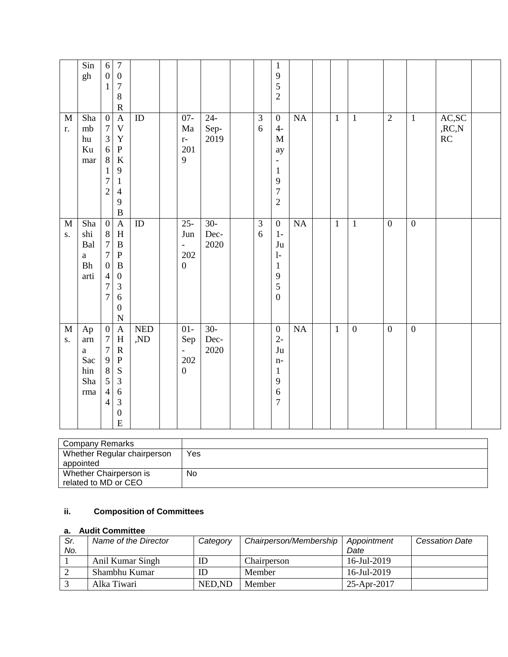|                   | Sin<br>gh                                        | $\sqrt{6}$<br>$\boldsymbol{0}$ | $\boldsymbol{7}$<br>$\boldsymbol{0}$ |                             |                  |           |                             | $\mathbf{1}$<br>9            |           |              |                  |                  |                  |                         |  |
|-------------------|--------------------------------------------------|--------------------------------|--------------------------------------|-----------------------------|------------------|-----------|-----------------------------|------------------------------|-----------|--------------|------------------|------------------|------------------|-------------------------|--|
|                   |                                                  | $\mathbf{1}$                   | $\boldsymbol{7}$                     |                             |                  |           |                             | 5                            |           |              |                  |                  |                  |                         |  |
|                   |                                                  |                                | $\,8\,$                              |                             |                  |           |                             | $\overline{2}$               |           |              |                  |                  |                  |                         |  |
|                   |                                                  |                                | $\mathbf R$                          |                             |                  |           |                             |                              |           |              |                  |                  |                  |                         |  |
| $\mathbf M$       | Sha                                              | $\boldsymbol{0}$               | $\overline{A}$                       | ID                          | $07 -$           | $24 -$    | $\overline{3}$              | $\boldsymbol{0}$             | NA        | $\mathbf{1}$ | $\mathbf{1}$     | $\overline{2}$   | $\mathbf{1}$     | AC, SC                  |  |
| r.                | mb                                               | $\boldsymbol{7}$               | $\mathbf V$                          |                             | $\rm{Ma}$        | Sep-      | 6                           | $4-$                         |           |              |                  |                  |                  | ${,}{\rm RC},\!{\rm N}$ |  |
|                   | hu                                               | $\overline{3}$                 | $\mathbf Y$                          |                             | $r-$             | 2019      |                             | $\mathbf M$                  |           |              |                  |                  |                  | RC                      |  |
|                   | Ku                                               | 6                              | ${\bf P}$                            |                             | 201              |           |                             | ay                           |           |              |                  |                  |                  |                         |  |
|                   | mar                                              | $\,8\,$                        | $\rm K$                              |                             | 9                |           |                             | $\qquad \qquad \blacksquare$ |           |              |                  |                  |                  |                         |  |
|                   |                                                  | $\mathbf 1$                    | $\mathbf{9}$                         |                             |                  |           |                             | $\mathbf{1}$                 |           |              |                  |                  |                  |                         |  |
|                   |                                                  | $\overline{7}$                 | $\mathbf{1}$                         |                             |                  |           |                             | 9                            |           |              |                  |                  |                  |                         |  |
|                   |                                                  | $\overline{c}$                 | $\overline{4}$                       |                             |                  |           |                             | $\overline{7}$               |           |              |                  |                  |                  |                         |  |
|                   |                                                  |                                | 9                                    |                             |                  |           |                             | $\overline{c}$               |           |              |                  |                  |                  |                         |  |
|                   |                                                  |                                | $\, {\bf B}$                         |                             |                  |           |                             |                              |           |              |                  |                  |                  |                         |  |
| $\mathbf M$       | Sha                                              | $\boldsymbol{0}$               | $\boldsymbol{\mathsf{A}}$            | ${\rm ID}$                  | $25 -$           | $30-$     | $\ensuremath{\mathfrak{Z}}$ | $\boldsymbol{0}$             | $\rm NA$  | $\mathbf{1}$ | $\mathbf{1}$     | $\boldsymbol{0}$ | $\boldsymbol{0}$ |                         |  |
| $S_{\star}$       | shi                                              | $\,8\,$                        | $\boldsymbol{\mathrm{H}}$            |                             | Jun              | Dec-      | 6                           | $1-$                         |           |              |                  |                  |                  |                         |  |
|                   | Bal                                              | $\overline{7}$                 | $\, {\bf B}$                         |                             | $\blacksquare$   | 2020      |                             | Ju                           |           |              |                  |                  |                  |                         |  |
|                   | $\rm{a}$                                         | $\overline{7}$                 | ${\bf P}$                            |                             | 202              |           |                             | $1-$                         |           |              |                  |                  |                  |                         |  |
|                   | ${\bf B} {\bf h}$                                | $\boldsymbol{0}$               | $\, {\bf B}$                         |                             | $\boldsymbol{0}$ |           |                             | $\mathbf{1}$                 |           |              |                  |                  |                  |                         |  |
|                   | arti                                             | $\overline{4}$                 | $\boldsymbol{0}$                     |                             |                  |           |                             | 9                            |           |              |                  |                  |                  |                         |  |
|                   |                                                  | $\overline{7}$                 | $\mathfrak{Z}$                       |                             |                  |           |                             | 5                            |           |              |                  |                  |                  |                         |  |
|                   |                                                  | $\overline{7}$                 | $\sqrt{6}$                           |                             |                  |           |                             | $\boldsymbol{0}$             |           |              |                  |                  |                  |                         |  |
|                   |                                                  |                                | $\boldsymbol{0}$                     |                             |                  |           |                             |                              |           |              |                  |                  |                  |                         |  |
|                   |                                                  | $\overline{0}$                 | $\mathbf N$                          |                             |                  | $30-$     |                             |                              | <b>NA</b> |              | $\boldsymbol{0}$ | $\boldsymbol{0}$ | $\overline{0}$   |                         |  |
| $\mathbf M$<br>S. | Ap                                               | $\boldsymbol{7}$               | $\mathbf A$<br>$\mathbf H$           | <b>NED</b><br>$,\!{\rm ND}$ | $01-$            | $\,$ Dec- |                             | $\boldsymbol{0}$<br>$2 -$    |           | $\mathbf{1}$ |                  |                  |                  |                         |  |
|                   | $\mathop{\mathrm{arn}}\nolimits$<br>$\mathbf{a}$ | $\boldsymbol{7}$               | ${\bf R}$                            |                             | Sep<br>$\equiv$  | 2020      |                             | $\mathrm{J}\mathrm{u}$       |           |              |                  |                  |                  |                         |  |
|                   | Sac                                              | $\mathbf{9}$                   | ${\bf P}$                            |                             | 202              |           |                             | $n-$                         |           |              |                  |                  |                  |                         |  |
|                   | hin                                              | $\,8\,$                        | ${\bf S}$                            |                             | $\boldsymbol{0}$ |           |                             | $\mathbf{1}$                 |           |              |                  |                  |                  |                         |  |
|                   | Sha                                              | 5                              | $\mathfrak 3$                        |                             |                  |           |                             | 9                            |           |              |                  |                  |                  |                         |  |
|                   | $\rm{rma}$                                       | $\overline{4}$                 | $\sqrt{6}$                           |                             |                  |           |                             | 6                            |           |              |                  |                  |                  |                         |  |
|                   |                                                  | $\overline{4}$                 | $\ensuremath{\mathfrak{Z}}$          |                             |                  |           |                             | $\overline{7}$               |           |              |                  |                  |                  |                         |  |
|                   |                                                  |                                | $\boldsymbol{0}$                     |                             |                  |           |                             |                              |           |              |                  |                  |                  |                         |  |
|                   |                                                  |                                | $\mathbf E$                          |                             |                  |           |                             |                              |           |              |                  |                  |                  |                         |  |

| <b>Company Remarks</b>      |     |
|-----------------------------|-----|
| Whether Regular chairperson | Yes |
| appointed                   |     |
| Whether Chairperson is      | No  |
| related to MD or CEO        |     |

# **ii. Composition of Committees**

## **a. Audit Committee**

| Sr. | Name of the Director | Category | Chairperson/Membership | Appointment    | <b>Cessation Date</b> |
|-----|----------------------|----------|------------------------|----------------|-----------------------|
| No. |                      |          |                        | Date           |                       |
|     | Anil Kumar Singh     | ID       | Chairperson            | $16$ -Jul-2019 |                       |
|     | Shambhu Kumar        | ID       | Member                 | $16$ -Jul-2019 |                       |
|     | Alka Tiwari          | NED, ND  | Member                 | 25-Apr-2017    |                       |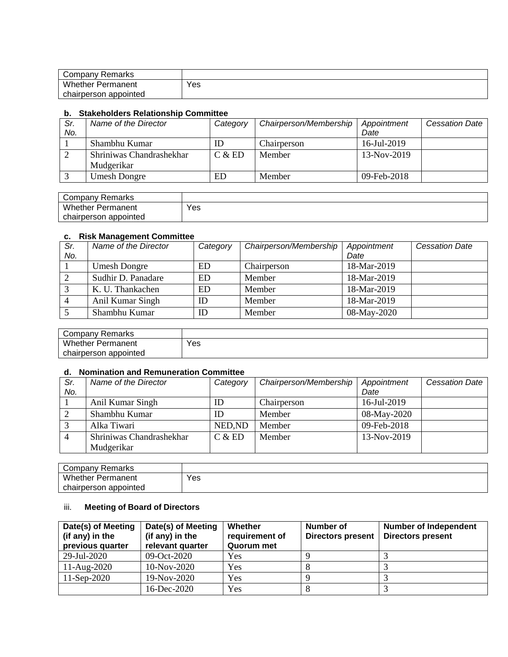| Company Remarks          |     |
|--------------------------|-----|
| <b>Whether Permanent</b> | Yes |
| chairperson appointed    |     |

#### **b. Stakeholders Relationship Committee**

| Sr.<br>No. | Name of the Director     | Category | Chairperson/Membership | Appointment<br>Date | <b>Cessation Date</b> |
|------------|--------------------------|----------|------------------------|---------------------|-----------------------|
|            |                          |          |                        |                     |                       |
|            | Shambhu Kumar            | ID       | Chairperson            | 16-Jul-2019         |                       |
|            | Shriniwas Chandrashekhar | C & E D  | Member                 | 13-Nov-2019         |                       |
|            | Mudgerikar               |          |                        |                     |                       |
|            | <b>Umesh Dongre</b>      | ED       | Member                 | 09-Feb-2018         |                       |

| Company Remarks       |     |
|-----------------------|-----|
| Whether<br>Permanent  | Yes |
| chairperson appointed |     |

#### **c. Risk Management Committee**

| Sr.<br>No. | Name of the Director | Category | Chairperson/Membership | Appointment<br>Date | <b>Cessation Date</b> |
|------------|----------------------|----------|------------------------|---------------------|-----------------------|
|            | <b>Umesh Dongre</b>  | ED       | Chairperson            | 18-Mar-2019         |                       |
|            | Sudhir D. Panadare   | ED       | Member                 | 18-Mar-2019         |                       |
|            | K. U. Thankachen     | ED       | Member                 | 18-Mar-2019         |                       |
|            |                      |          |                        |                     |                       |
|            | Anil Kumar Singh     | ID       | Member                 | 18-Mar-2019         |                       |
|            | Shambhu Kumar        | ID       | Member                 | 08-May-2020         |                       |

| Company Remarks          |     |
|--------------------------|-----|
| <b>Whether Permanent</b> | Yes |
| chairperson appointed    |     |

## **d. Nomination and Remuneration Committee**

| Sr.            | Name of the Director     | Category | Chairperson/Membership | Appointment | <b>Cessation Date</b> |
|----------------|--------------------------|----------|------------------------|-------------|-----------------------|
| No.            |                          |          |                        | Date        |                       |
|                | Anil Kumar Singh         | ID       | Chairperson            | 16-Jul-2019 |                       |
|                | Shambhu Kumar            | ID       | Member                 | 08-May-2020 |                       |
|                | Alka Tiwari              | NED, ND  | Member                 | 09-Feb-2018 |                       |
| $\overline{4}$ | Shriniwas Chandrashekhar | C & E D  | Member                 | 13-Nov-2019 |                       |
|                | Mudgerikar               |          |                        |             |                       |

| Company Remarks          |     |
|--------------------------|-----|
| <b>Whether Permanent</b> | Yes |
| chairperson<br>appointed |     |

## iii. **Meeting of Board of Directors**

| Date(s) of Meeting | Date(s) of Meeting | Whether        | <b>Number of</b>         | <b>Number of Independent</b> |
|--------------------|--------------------|----------------|--------------------------|------------------------------|
| (if any) in the    | (if any) in the    | requirement of | <b>Directors present</b> | <b>Directors present</b>     |
| previous quarter   | relevant quarter   | Quorum met     |                          |                              |
| 29-Jul-2020        | 09-Oct-2020        | Yes            |                          |                              |
| $11-Aug-2020$      | 10-Nov-2020        | Yes            |                          |                              |
| $11-Sep-2020$      | 19-Nov-2020        | Yes            |                          |                              |
|                    | 16-Dec-2020        | Yes            |                          |                              |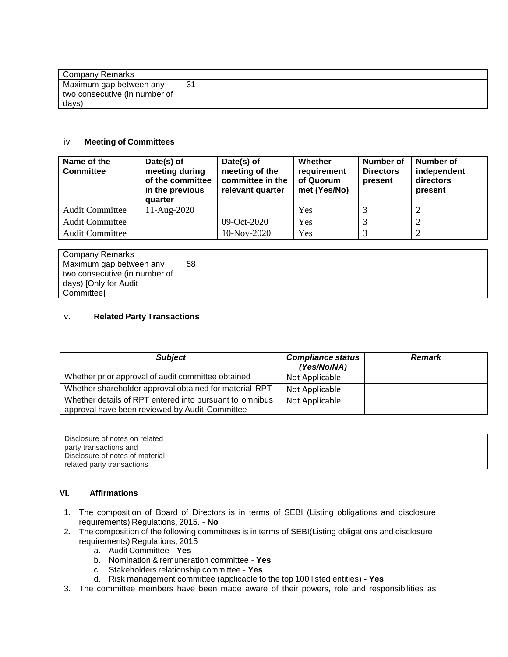| Company Remarks               |     |
|-------------------------------|-----|
| Maximum gap between any       | -31 |
| two consecutive (in number of |     |
| days)                         |     |

#### iv. **Meeting of Committees**

| Name of the<br><b>Committee</b> | Date(s) of<br>meeting during<br>of the committee<br>in the previous<br>quarter | Date(s) of<br>meeting of the<br>committee in the<br>relevant quarter | Whether<br>requirement<br>of Quorum<br>met (Yes/No) | Number of<br><b>Directors</b><br>present | Number of<br>independent<br>directors<br>present |
|---------------------------------|--------------------------------------------------------------------------------|----------------------------------------------------------------------|-----------------------------------------------------|------------------------------------------|--------------------------------------------------|
| <b>Audit Committee</b>          | $11-Aug-2020$                                                                  |                                                                      | Yes                                                 |                                          |                                                  |
| <b>Audit Committee</b>          |                                                                                | 09-Oct-2020                                                          | Yes                                                 |                                          |                                                  |
| <b>Audit Committee</b>          |                                                                                | 10-Nov-2020                                                          | Yes                                                 |                                          |                                                  |

| Company Remarks                                                                                 |    |
|-------------------------------------------------------------------------------------------------|----|
| Maximum gap between any<br>two consecutive (in number of<br>days) [Only for Audit<br>Committeel | 58 |

#### v. **Related Party Transactions**

| <b>Subject</b>                                                                                            | <b>Compliance status</b><br>(Yes/No/NA) | <b>Remark</b> |
|-----------------------------------------------------------------------------------------------------------|-----------------------------------------|---------------|
| Whether prior approval of audit committee obtained                                                        | Not Applicable                          |               |
| Whether shareholder approval obtained for material RPT                                                    | Not Applicable                          |               |
| Whether details of RPT entered into pursuant to omnibus<br>approval have been reviewed by Audit Committee | Not Applicable                          |               |

| Disclosure of notes on related  |  |
|---------------------------------|--|
| party transactions and          |  |
| Disclosure of notes of material |  |
| related party transactions      |  |

## **VI. Affirmations**

- 1. The composition of Board of Directors is in terms of SEBI (Listing obligations and disclosure requirements) Regulations, 2015. - **No**
- 2. The composition of the following committees is in terms of SEBI(Listing obligations and disclosure requirements) Regulations, 2015
	- a. Audit Committee **Yes**
	- b. Nomination & remuneration committee **Yes**
	- c. Stakeholders relationship committee **Yes**
	- d. Risk management committee (applicable to the top 100 listed entities) **- Yes**
- 3. The committee members have been made aware of their powers, role and responsibilities as